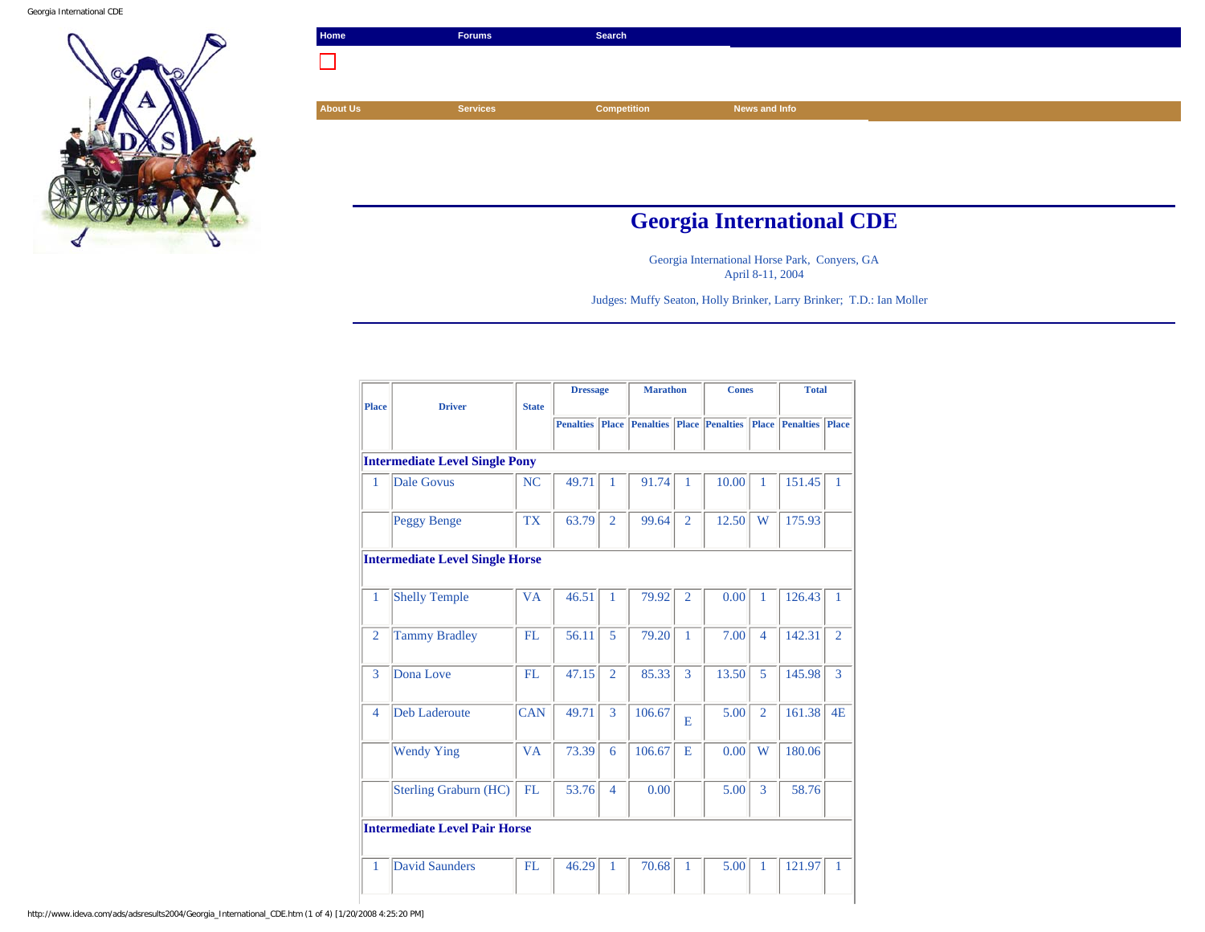Georgia International CDE



| Home                             | <b>Forums</b>   | Search             |               |  |  |  |  |
|----------------------------------|-----------------|--------------------|---------------|--|--|--|--|
|                                  |                 |                    |               |  |  |  |  |
|                                  |                 |                    |               |  |  |  |  |
| <b>About Us</b>                  | <b>Services</b> | <b>Competition</b> | News and Info |  |  |  |  |
|                                  |                 |                    |               |  |  |  |  |
|                                  |                 |                    |               |  |  |  |  |
|                                  |                 |                    |               |  |  |  |  |
|                                  |                 |                    |               |  |  |  |  |
| <b>Georgia International CDE</b> |                 |                    |               |  |  |  |  |

Georgia International Horse Park, Conyers, GA April 8-11, 2004

Judges: Muffy Seaton, Holly Brinker, Larry Brinker; T.D.: Ian Moller

|                                        | <b>Driver</b>                         |              | <b>Dressage</b>  |                | <b>Marathon</b>        |                | <b>Cones</b>                 |                | <b>Total</b>     |                |
|----------------------------------------|---------------------------------------|--------------|------------------|----------------|------------------------|----------------|------------------------------|----------------|------------------|----------------|
| <b>Place</b>                           |                                       | <b>State</b> |                  |                |                        |                |                              |                |                  |                |
|                                        |                                       |              | <b>Penalties</b> |                | <b>Place</b> Penalties |                | <b>Place Penalties Place</b> |                | <b>Penalties</b> | Place          |
|                                        |                                       |              |                  |                |                        |                |                              |                |                  |                |
|                                        | <b>Intermediate Level Single Pony</b> |              |                  |                |                        |                |                              |                |                  |                |
| 1                                      | <b>Dale Govus</b>                     | NC           | 49.71            | 1              | 91.74                  | 1              | 10.00                        | 1              | 151.45           | 1              |
|                                        | <b>Peggy Benge</b>                    | <b>TX</b>    | 63.79            | $\overline{2}$ | 99.64                  | $\overline{2}$ | 12.50                        | W              | 175.93           |                |
| <b>Intermediate Level Single Horse</b> |                                       |              |                  |                |                        |                |                              |                |                  |                |
| $\mathbf{1}$                           | <b>Shelly Temple</b>                  | <b>VA</b>    | 46.51            | 1              | 79.92                  | $\overline{2}$ | 0.00                         | 1              | 126.43           | 1              |
| $\overline{2}$                         | <b>Tammy Bradley</b>                  | <b>FL</b>    | 56.11            | 5              | 79.20                  | 1              | 7.00                         | $\overline{4}$ | 142.31           | $\overline{2}$ |
| 3                                      | Dona Love                             | FL.          | 47.15            | $\overline{2}$ | 85.33                  | 3              | 13.50                        | 5              | 145.98           | 3              |
| 4                                      | <b>Deb Laderoute</b>                  | <b>CAN</b>   | 49.71            | 3              | 106.67                 | E              | 5.00                         | $\overline{2}$ | 161.38           | 4E             |
|                                        | <b>Wendy Ying</b>                     | <b>VA</b>    | 73.39            | 6              | 106.67                 | E              | 0.00                         | W              | 180.06           |                |
|                                        | <b>Sterling Graburn (HC)</b>          | FL           | 53.76            | $\overline{4}$ | 0.00                   |                | 5.00                         | 3              | 58.76            |                |
| <b>Intermediate Level Pair Horse</b>   |                                       |              |                  |                |                        |                |                              |                |                  |                |
| $\mathbf{1}$                           | David Saunders                        | FL           | 46.29            | $\mathbf{1}$   | 70.68                  | 1              | 5.00                         | $\mathbf{1}$   | 121.97           | $\mathbf{1}$   |

http://www.ideva.com/ads/adsresults2004/Georgia\_International\_CDE.htm (1 of 4) [1/20/2008 4:25:20 PM]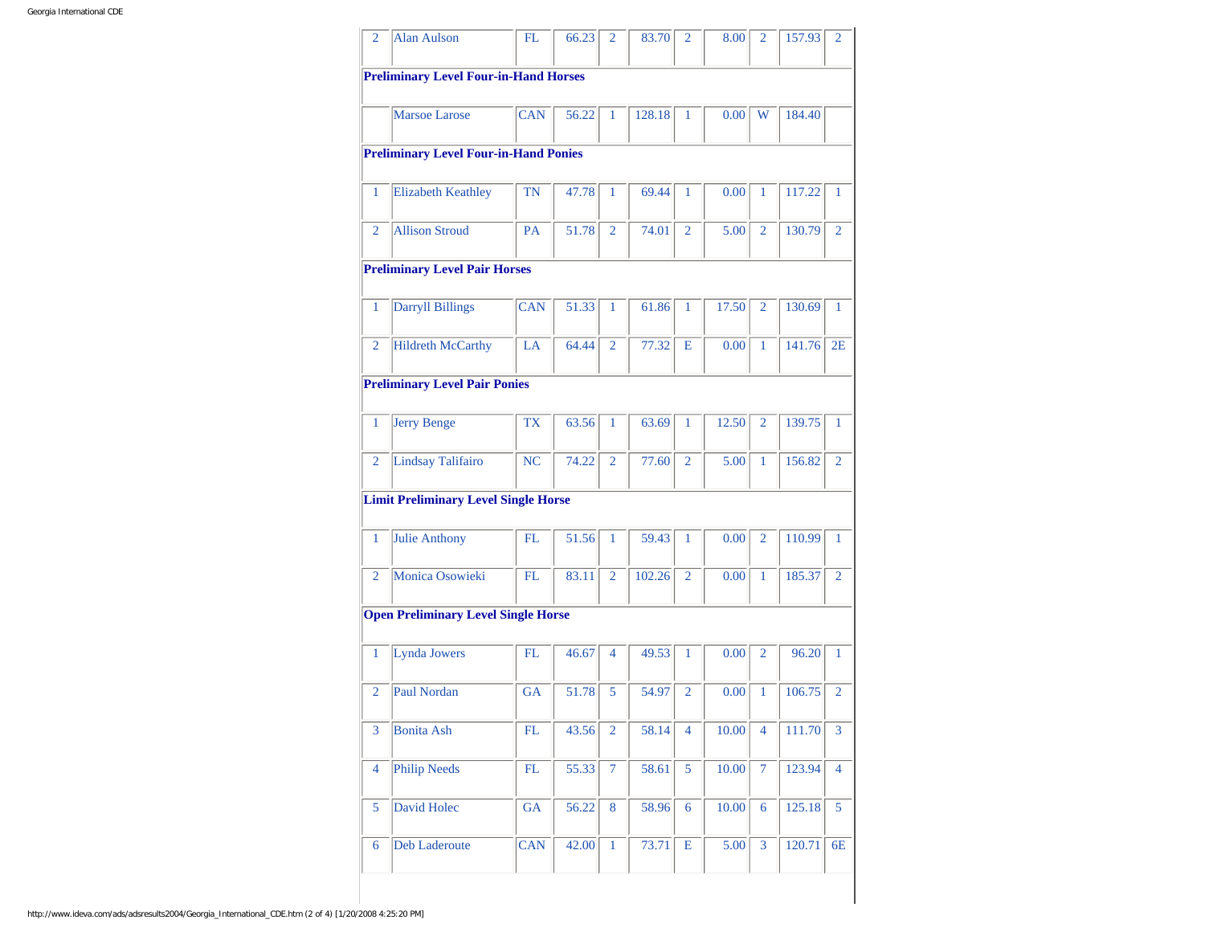| 2            | <b>Alan Aulson</b>                           | FL               | 66.23 | 2              | 83.70  | $\overline{2}$   | 8.00  | $\overline{2}$ | 157.93 | $\overline{2}$ |
|--------------|----------------------------------------------|------------------|-------|----------------|--------|------------------|-------|----------------|--------|----------------|
|              | <b>Preliminary Level Four-in-Hand Horses</b> |                  |       |                |        |                  |       |                |        |                |
|              | <b>Marsoe Larose</b>                         | <b>CAN</b>       | 56.22 | 1              | 128.18 | 1                | 0.00  | W              | 184.40 |                |
|              | <b>Preliminary Level Four-in-Hand Ponies</b> |                  |       |                |        |                  |       |                |        |                |
| 1            | <b>Elizabeth Keathley</b>                    | TN               | 47.78 | 1              | 69.44  | $\mathbf{1}$     | 0.00  | 1              | 117.22 | 1              |
| 2            | <b>Allison Stroud</b>                        | PA               | 51.78 | $\overline{2}$ | 74.01  | $\overline{2}$   | 5.00  | $\overline{2}$ | 130.79 | $\overline{2}$ |
|              | <b>Preliminary Level Pair Horses</b>         |                  |       |                |        |                  |       |                |        |                |
| 1            | <b>Darryll Billings</b>                      | $\overline{C}AN$ | 51.33 | 1              | 61.86  | 1                | 17.50 | $\overline{2}$ | 130.69 | $\mathbf{1}$   |
| 2            | <b>Hildreth McCarthy</b>                     | LA               | 64.44 | $\overline{2}$ | 77.32  | E                | 0.00  | 1              | 141.76 | 2E             |
|              | <b>Preliminary Level Pair Ponies</b>         |                  |       |                |        |                  |       |                |        |                |
| 1            | <b>Jerry Benge</b>                           | <b>TX</b>        | 63.56 | 1              | 63.69  | 1                | 12.50 | $\overline{2}$ | 139.75 | 1              |
| 2            | Lindsay Talifairo                            | <b>NC</b>        | 74.22 | $\overline{2}$ | 77.60  | $\overline{2}$   | 5.00  | $\mathbf{1}$   | 156.82 | $\overline{2}$ |
|              | <b>Limit Preliminary Level Single Horse</b>  |                  |       |                |        |                  |       |                |        |                |
| 1            | <b>Julie Anthony</b>                         | FL               | 51.56 | 1              | 59.43  | $\mathbf{1}$     | 0.00  | $\overline{2}$ | 110.99 | $\mathbf{1}$   |
| 2            | <b>Monica Osowieki</b>                       | FL               | 83.11 | $\overline{2}$ | 102.26 | $\overline{2}$   | 0.00  | 1              | 185.37 | $\overline{2}$ |
|              | <b>Open Preliminary Level Single Horse</b>   |                  |       |                |        |                  |       |                |        |                |
| $\mathbf{1}$ | <b>Lynda Jowers</b>                          | FL               |       |                | 49.53  | $\mathbf{1}$     | 0.00  | $\overline{2}$ | 96.20  | 1              |
|              |                                              |                  | 46.67 | 4              |        |                  |       |                |        |                |
| 2            | Paul Nordan                                  | <b>GA</b>        | 51.78 | 5              | 54.97  | $\overline{2}$   | 0.00  | 1              | 106.75 | $\overline{2}$ |
| 3            | <b>Bonita Ash</b>                            | FL               | 43.56 | $\overline{2}$ | 58.14  | 4                | 10.00 | $\overline{4}$ | 111.70 | 3              |
| 4            | <b>Philip Needs</b>                          | ${\rm FL}$       | 55.33 | $\overline{7}$ | 58.61  | 5                | 10.00 | $\overline{7}$ | 123.94 | 4              |
| 5            | David Holec                                  | GA               | 56.22 | $\bf 8$        | 58.96  | $\boldsymbol{6}$ | 10.00 | 6              | 125.18 | 5              |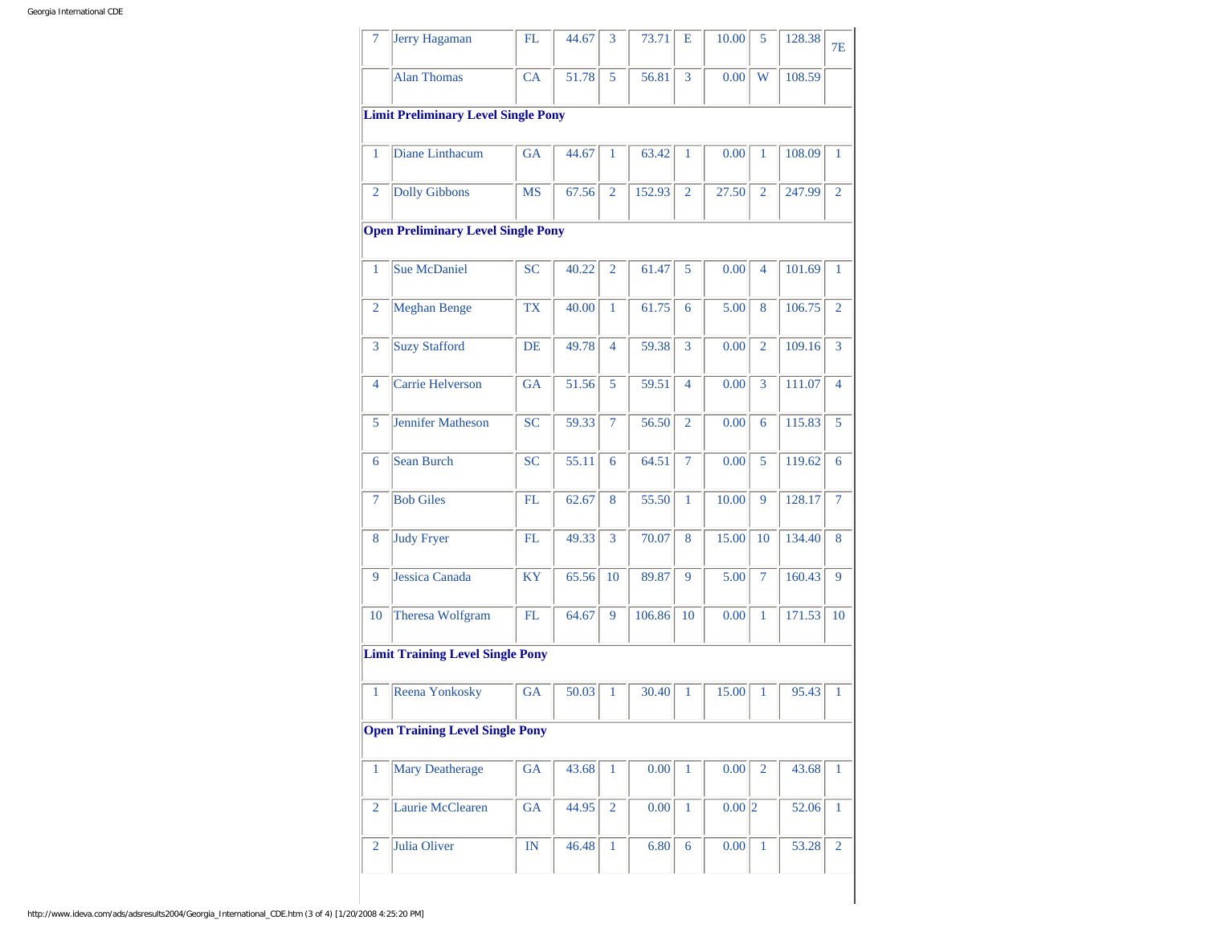| $\overline{7}$ | <b>Jerry Hagaman</b>                       | FL                     | 44.67 | 3              | 73.71  | Е              | 10.00               | 5              | 128.38 | <b>7E</b>      |
|----------------|--------------------------------------------|------------------------|-------|----------------|--------|----------------|---------------------|----------------|--------|----------------|
|                | <b>Alan Thomas</b>                         | CA                     | 51.78 | 5              | 56.81  | 3              | 0.00                | W              | 108.59 |                |
|                | <b>Limit Preliminary Level Single Pony</b> |                        |       |                |        |                |                     |                |        |                |
| $\mathbf{1}$   | Diane Linthacum                            | <b>GA</b>              | 44.67 | $\mathbf{1}$   | 63.42  | 1              | 0.00                | $\mathbf{1}$   | 108.09 | 1              |
| $\overline{2}$ | <b>Dolly Gibbons</b>                       | <b>MS</b>              | 67.56 | $\overline{2}$ | 152.93 | $\overline{2}$ | 27.50               | $\overline{2}$ | 247.99 | $\overline{2}$ |
|                | <b>Open Preliminary Level Single Pony</b>  |                        |       |                |        |                |                     |                |        |                |
| $\mathbf{1}$   | <b>Sue McDaniel</b>                        | <b>SC</b>              | 40.22 | $\overline{2}$ | 61.47  | 5              | 0.00                | 4              | 101.69 | 1              |
| 2              | <b>Meghan Benge</b>                        | <b>TX</b>              | 40.00 | 1              | 61.75  | 6              | 5.00                | 8              | 106.75 | $\overline{2}$ |
|                |                                            |                        |       |                |        |                |                     |                |        |                |
| 3              | <b>Suzy Stafford</b>                       | DE                     | 49.78 | $\overline{4}$ | 59.38  | 3              | 0.00                | $\overline{2}$ | 109.16 | 3              |
| 4              | <b>Carrie Helverson</b>                    | <b>GA</b>              | 51.56 | 5              | 59.51  | $\overline{4}$ | 0.00                | $\overline{3}$ | 111.07 | $\overline{4}$ |
| 5              | <b>Jennifer Matheson</b>                   | <b>SC</b>              | 59.33 | 7              | 56.50  | $\overline{2}$ | 0.00                | 6              | 115.83 | 5              |
| 6              | <b>Sean Burch</b>                          | <b>SC</b>              | 55.11 | 6              | 64.51  | 7              | 0.00                | 5              | 119.62 | 6              |
| 7              | <b>Bob Giles</b>                           | FL                     | 62.67 | 8              | 55.50  | $\mathbf{1}$   | 10.00               | 9              | 128.17 | $\overline{7}$ |
| 8              | <b>Judy Fryer</b>                          | FL                     | 49.33 | 3              | 70.07  | 8              | 15.00               | 10             | 134.40 | 8              |
| 9              | <b>Jessica Canada</b>                      | <b>KY</b>              | 65.56 | 10             | 89.87  | 9              | 5.00                | $\tau$         | 160.43 | 9              |
| 10             | Theresa Wolfgram                           | FL                     | 64.67 | 9              | 106.86 | 10             | 0.00                | 1              | 171.53 | 10             |
|                | <b>Limit Training Level Single Pony</b>    |                        |       |                |        |                |                     |                |        |                |
| 1              | Reena Yonkosky                             | GA                     | 50.03 | 1              | 30.40  | 1              | 15.00               | 1              | 95.43  | 1              |
|                | <b>Open Training Level Single Pony</b>     |                        |       |                |        |                |                     |                |        |                |
| $\mathbf{1}$   | <b>Mary Deatherage</b>                     | GA                     | 43.68 | 1              | 0.00   | 1              | 0.00                | $\overline{2}$ | 43.68  | 1              |
| $\overline{2}$ | Laurie McClearen                           | GA                     | 44.95 | $\overline{2}$ | 0.00   | $\,1\,$        | $0.00$ <sub>2</sub> |                | 52.06  | $\mathbf{1}$   |
| $\overline{2}$ | Julia Oliver                               | $\mathbb{I}\mathbb{N}$ | 46.48 | $\,1$          | 6.80   | $\overline{6}$ | 0.00                | $\,1\,$        | 53.28  | $\overline{2}$ |